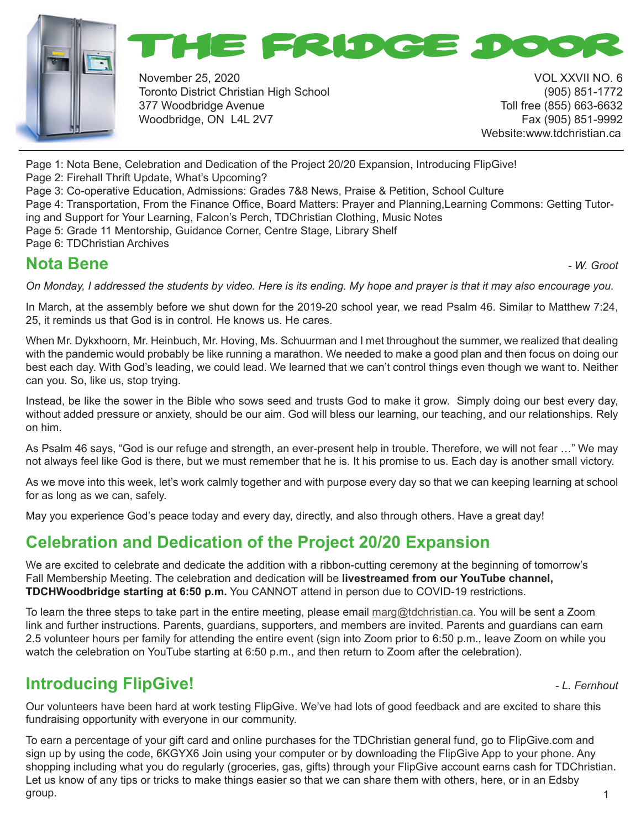



November 25, 2020 VOL XXVII NO. 6 Toronto District Christian High School (905) 851-1772 377 Woodbridge Avenue Toll free (855) 663-6632 Woodbridge, ON L4L 2V7 Fax (905) 851-9992

Website:www.tdchristian.ca

Page 1: Nota Bene, Celebration and Dedication of the Project 20/20 Expansion, Introducing FlipGive!

Page 2: Firehall Thrift Update, What's Upcoming?

Page 3: Co-operative Education, Admissions: Grades 7&8 News, Praise & Petition, School Culture

Page 4: Transportation, From the Finance Office, Board Matters: Prayer and Planning,Learning Commons: Getting Tutoring and Support for Your Learning, Falcon's Perch, TDChristian Clothing, Music Notes

Page 5: Grade 11 Mentorship, Guidance Corner, Centre Stage, Library Shelf

Page 6: TDChristian Archives

# **Nota Bene** *- W. Groot*

*On Monday, I addressed the students by video. Here is its ending. My hope and prayer is that it may also encourage you.*

In March, at the assembly before we shut down for the 2019-20 school year, we read Psalm 46. Similar to Matthew 7:24, 25, it reminds us that God is in control. He knows us. He cares.

When Mr. Dykxhoorn, Mr. Heinbuch, Mr. Hoving, Ms. Schuurman and I met throughout the summer, we realized that dealing with the pandemic would probably be like running a marathon. We needed to make a good plan and then focus on doing our best each day. With God's leading, we could lead. We learned that we can't control things even though we want to. Neither can you. So, like us, stop trying.

Instead, be like the sower in the Bible who sows seed and trusts God to make it grow. Simply doing our best every day, without added pressure or anxiety, should be our aim. God will bless our learning, our teaching, and our relationships. Rely on him.

As Psalm 46 says, "God is our refuge and strength, an ever-present help in trouble. Therefore, we will not fear …" We may not always feel like God is there, but we must remember that he is. It his promise to us. Each day is another small victory.

As we move into this week, let's work calmly together and with purpose every day so that we can keeping learning at school for as long as we can, safely.

May you experience God's peace today and every day, directly, and also through others. Have a great day!

# **Celebration and Dedication of the Project 20/20 Expansion**

We are excited to celebrate and dedicate the addition with a ribbon-cutting ceremony at the beginning of tomorrow's Fall Membership Meeting. The celebration and dedication will be **livestreamed from our YouTube channel, TDCHWoodbridge starting at 6:50 p.m.** You CANNOT attend in person due to COVID-19 restrictions.

To learn the three steps to take part in the entire meeting, please email marg@tdchristian.ca. You will be sent a Zoom link and further instructions. Parents, guardians, supporters, and members are invited. Parents and guardians can earn 2.5 volunteer hours per family for attending the entire event (sign into Zoom prior to 6:50 p.m., leave Zoom on while you watch the celebration on YouTube starting at 6:50 p.m., and then return to Zoom after the celebration).

# **Introducing FlipGive!** *CL. Fernhout* **<b>***CL. Fernhout*

Our volunteers have been hard at work testing FlipGive. We've had lots of good feedback and are excited to share this fundraising opportunity with everyone in our community.

1 To earn a percentage of your gift card and online purchases for the TDChristian general fund, go to FlipGive.com and sign up by using the code, 6KGYX6 Join using your computer or by downloading the FlipGive App to your phone. Any shopping including what you do regularly (groceries, gas, gifts) through your FlipGive account earns cash for TDChristian. Let us know of any tips or tricks to make things easier so that we can share them with others, here, or in an Edsby group.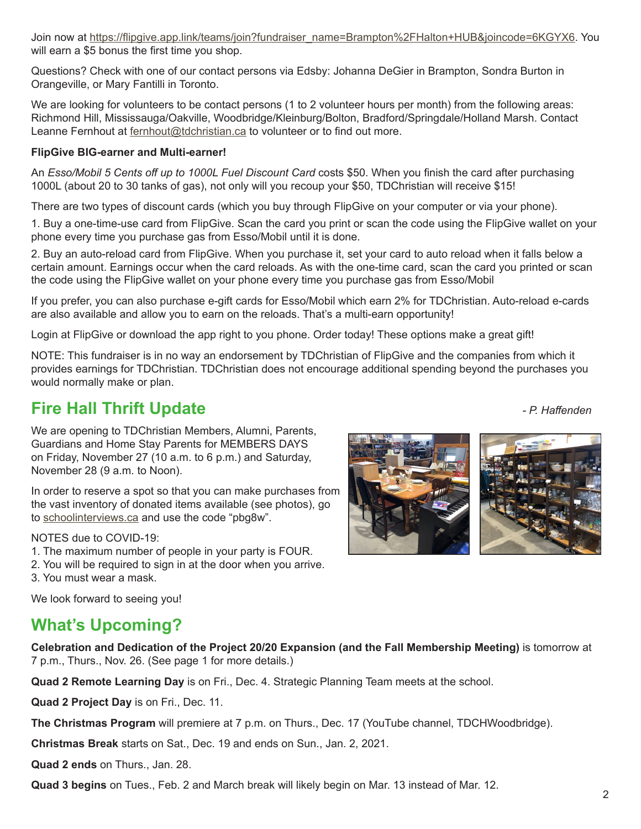**Quad 3 begins** on Tues., Feb. 2 and March break will likely begin on Mar. 13 instead of Mar. 12.

#### Join now at https://flipgive.app.link/teams/join?fundraiser\_name=Brampton%2FHalton+HUB&joincode=6KGYX6. You will earn a \$5 bonus the first time you shop.

Questions? Check with one of our contact persons via Edsby: Johanna DeGier in Brampton, Sondra Burton in Orangeville, or Mary Fantilli in Toronto.

We are looking for volunteers to be contact persons (1 to 2 volunteer hours per month) from the following areas: Richmond Hill, Mississauga/Oakville, Woodbridge/Kleinburg/Bolton, Bradford/Springdale/Holland Marsh. Contact Leanne Fernhout at fernhout@tdchristian.ca to volunteer or to find out more.

#### **FlipGive BIG-earner and Multi-earner!**

An *Esso/Mobil 5 Cents off up to 1000L Fuel Discount Card* costs \$50. When you finish the card after purchasing 1000L (about 20 to 30 tanks of gas), not only will you recoup your \$50, TDChristian will receive \$15!

There are two types of discount cards (which you buy through FlipGive on your computer or via your phone).

1. Buy a one-time-use card from FlipGive. Scan the card you print or scan the code using the FlipGive wallet on your phone every time you purchase gas from Esso/Mobil until it is done.

2. Buy an auto-reload card from FlipGive. When you purchase it, set your card to auto reload when it falls below a certain amount. Earnings occur when the card reloads. As with the one-time card, scan the card you printed or scan the code using the FlipGive wallet on your phone every time you purchase gas from Esso/Mobil

If you prefer, you can also purchase e-gift cards for Esso/Mobil which earn 2% for TDChristian. Auto-reload e-cards are also available and allow you to earn on the reloads. That's a multi-earn opportunity!

Login at FlipGive or download the app right to you phone. Order today! These options make a great gift!

NOTE: This fundraiser is in no way an endorsement by TDChristian of FlipGive and the companies from which it provides earnings for TDChristian. TDChristian does not encourage additional spending beyond the purchases you would normally make or plan.

# **Fire Hall Thrift Update** *- P. Haffenden*

We are opening to TDChristian Members, Alumni, Parents, Guardians and Home Stay Parents for MEMBERS DAYS on Friday, November 27 (10 a.m. to 6 p.m.) and Saturday, November 28 (9 a.m. to Noon).

In order to reserve a spot so that you can make purchases from the vast inventory of donated items available (see photos), go to schoolinterviews.ca and use the code "pbg8w".

#### NOTES due to COVID-19:

- 1. The maximum number of people in your party is FOUR.
- 2. You will be required to sign in at the door when you arrive.
- 3. You must wear a mask.

We look forward to seeing you!

# **What's Upcoming?**

**Celebration and Dedication of the Project 20/20 Expansion (and the Fall Membership Meeting)** is tomorrow at 7 p.m., Thurs., Nov. 26. (See page 1 for more details.)

**Quad 2 Remote Learning Day** is on Fri., Dec. 4. Strategic Planning Team meets at the school.

**Quad 2 Project Day** is on Fri., Dec. 11.

**The Christmas Program** will premiere at 7 p.m. on Thurs., Dec. 17 (YouTube channel, TDCHWoodbridge).

**Christmas Break** starts on Sat., Dec. 19 and ends on Sun., Jan. 2, 2021.

**Quad 2 ends** on Thurs., Jan. 28.

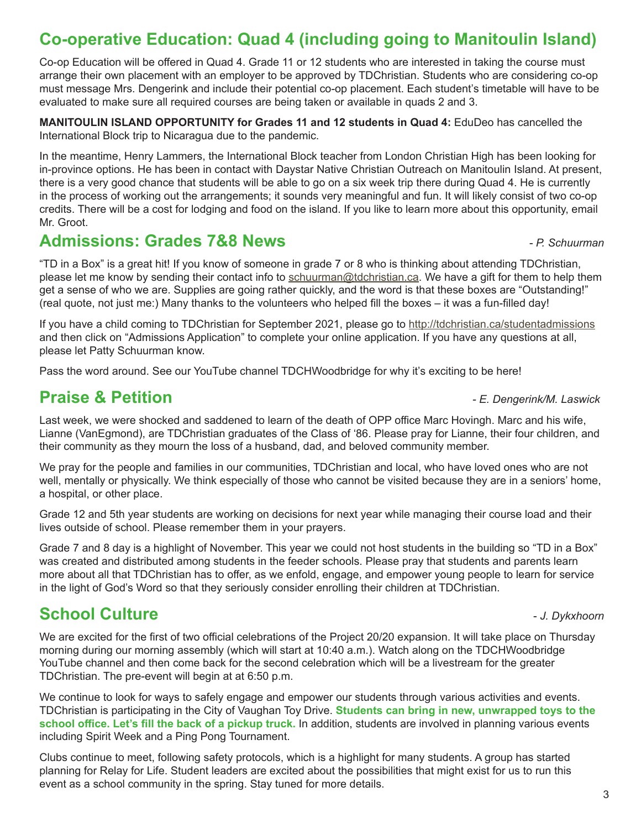# **Co-operative Education: Quad 4 (including going to Manitoulin Island)**

Co-op Education will be offered in Quad 4. Grade 11 or 12 students who are interested in taking the course must arrange their own placement with an employer to be approved by TDChristian. Students who are considering co-op must message Mrs. Dengerink and include their potential co-op placement. Each student's timetable will have to be evaluated to make sure all required courses are being taken or available in quads 2 and 3.

**MANITOULIN ISLAND OPPORTUNITY for Grades 11 and 12 students in Quad 4:** EduDeo has cancelled the International Block trip to Nicaragua due to the pandemic.

In the meantime, Henry Lammers, the International Block teacher from London Christian High has been looking for in-province options. He has been in contact with Daystar Native Christian Outreach on Manitoulin Island. At present, there is a very good chance that students will be able to go on a six week trip there during Quad 4. He is currently in the process of working out the arrangements; it sounds very meaningful and fun. It will likely consist of two co-op credits. There will be a cost for lodging and food on the island. If you like to learn more about this opportunity, email Mr. Groot.

#### **Admissions: Grades 7&8 News** *- P. Schuurman*

"TD in a Box" is a great hit! If you know of someone in grade 7 or 8 who is thinking about attending TDChristian, please let me know by sending their contact info to schuurman@tdchristian.ca. We have a gift for them to help them get a sense of who we are. Supplies are going rather quickly, and the word is that these boxes are "Outstanding!" (real quote, not just me:) Many thanks to the volunteers who helped fill the boxes – it was a fun-filled day!

If you have a child coming to TDChristian for September 2021, please go to http://tdchristian.ca/studentadmissions and then click on "Admissions Application" to complete your online application. If you have any questions at all, please let Patty Schuurman know.

Pass the word around. See our YouTube channel TDCHWoodbridge for why it's exciting to be here!

#### **Praise & Petition** *- E. Dengerink/M. Laswick*

Last week, we were shocked and saddened to learn of the death of OPP office Marc Hovingh. Marc and his wife, Lianne (VanEgmond), are TDChristian graduates of the Class of '86. Please pray for Lianne, their four children, and their community as they mourn the loss of a husband, dad, and beloved community member.

We pray for the people and families in our communities, TDChristian and local, who have loved ones who are not well, mentally or physically. We think especially of those who cannot be visited because they are in a seniors' home, a hospital, or other place.

Grade 12 and 5th year students are working on decisions for next year while managing their course load and their lives outside of school. Please remember them in your prayers.

Grade 7 and 8 day is a highlight of November. This year we could not host students in the building so "TD in a Box" was created and distributed among students in the feeder schools. Please pray that students and parents learn more about all that TDChristian has to offer, as we enfold, engage, and empower young people to learn for service in the light of God's Word so that they seriously consider enrolling their children at TDChristian.

### **School Culture -** *J. Dykxhoorn***</del>**

We are excited for the first of two official celebrations of the Project 20/20 expansion. It will take place on Thursday morning during our morning assembly (which will start at 10:40 a.m.). Watch along on the TDCHWoodbridge YouTube channel and then come back for the second celebration which will be a livestream for the greater TDChristian. The pre-event will begin at at 6:50 p.m.

We continue to look for ways to safely engage and empower our students through various activities and events. TDChristian is participating in the City of Vaughan Toy Drive. **Students can bring in new, unwrapped toys to the school office. Let's fill the back of a pickup truck.** In addition, students are involved in planning various events including Spirit Week and a Ping Pong Tournament.

Clubs continue to meet, following safety protocols, which is a highlight for many students. A group has started planning for Relay for Life. Student leaders are excited about the possibilities that might exist for us to run this event as a school community in the spring. Stay tuned for more details.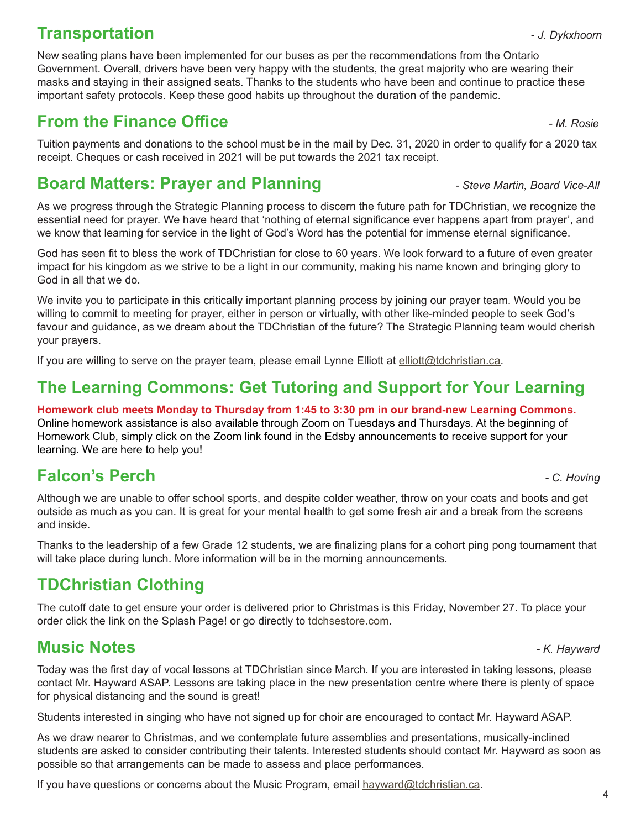# **Transportation 1.** The *Legislation* **CONSCRIPTION CONSCRIPTION CONSCRIPTION CONSCRIPTION CONSCRIPTION CONSCRIPTION**

New seating plans have been implemented for our buses as per the recommendations from the Ontario Government. Overall, drivers have been very happy with the students, the great majority who are wearing their masks and staying in their assigned seats. Thanks to the students who have been and continue to practice these important safety protocols. Keep these good habits up throughout the duration of the pandemic.

# **From the Finance Office**  *AL Rosie AL Rosie*

Tuition payments and donations to the school must be in the mail by Dec. 31, 2020 in order to qualify for a 2020 tax receipt. Cheques or cash received in 2021 will be put towards the 2021 tax receipt.

# **Board Matters: Prayer and Planning** *Prayer and Planning**Property Steve Martin, Board Vice-All*

As we progress through the Strategic Planning process to discern the future path for TDChristian, we recognize the essential need for prayer. We have heard that 'nothing of eternal significance ever happens apart from prayer', and we know that learning for service in the light of God's Word has the potential for immense eternal significance.

God has seen fit to bless the work of TDChristian for close to 60 years. We look forward to a future of even greater impact for his kingdom as we strive to be a light in our community, making his name known and bringing glory to God in all that we do.

We invite you to participate in this critically important planning process by joining our prayer team. Would you be willing to commit to meeting for prayer, either in person or virtually, with other like-minded people to seek God's favour and guidance, as we dream about the TDChristian of the future? The Strategic Planning team would cherish your prayers.

If you are willing to serve on the prayer team, please email Lynne Elliott at elliott@tdchristian.ca.

# **The Learning Commons: Get Tutoring and Support for Your Learning**

**Homework club meets Monday to Thursday from 1:45 to 3:30 pm in our brand-new Learning Commons.** Online homework assistance is also available through Zoom on Tuesdays and Thursdays. At the beginning of Homework Club, simply click on the Zoom link found in the Edsby announcements to receive support for your learning. We are here to help you!

### **Falcon's Perch** *- C. Hoving*

Although we are unable to offer school sports, and despite colder weather, throw on your coats and boots and get outside as much as you can. It is great for your mental health to get some fresh air and a break from the screens and inside.

Thanks to the leadership of a few Grade 12 students, we are finalizing plans for a cohort ping pong tournament that will take place during lunch. More information will be in the morning announcements.

### **TDChristian Clothing**

The cutoff date to get ensure your order is delivered prior to Christmas is this Friday, November 27. To place your order click the link on the Splash Page! or go directly to tdchsestore.com.

### **Music Notes** *- K. Hayward*

Today was the first day of vocal lessons at TDChristian since March. If you are interested in taking lessons, please contact Mr. Hayward ASAP. Lessons are taking place in the new presentation centre where there is plenty of space for physical distancing and the sound is great!

Students interested in singing who have not signed up for choir are encouraged to contact Mr. Hayward ASAP.

As we draw nearer to Christmas, and we contemplate future assemblies and presentations, musically-inclined students are asked to consider contributing their talents. Interested students should contact Mr. Hayward as soon as possible so that arrangements can be made to assess and place performances.

If you have questions or concerns about the Music Program, email hayward@tdchristian.ca.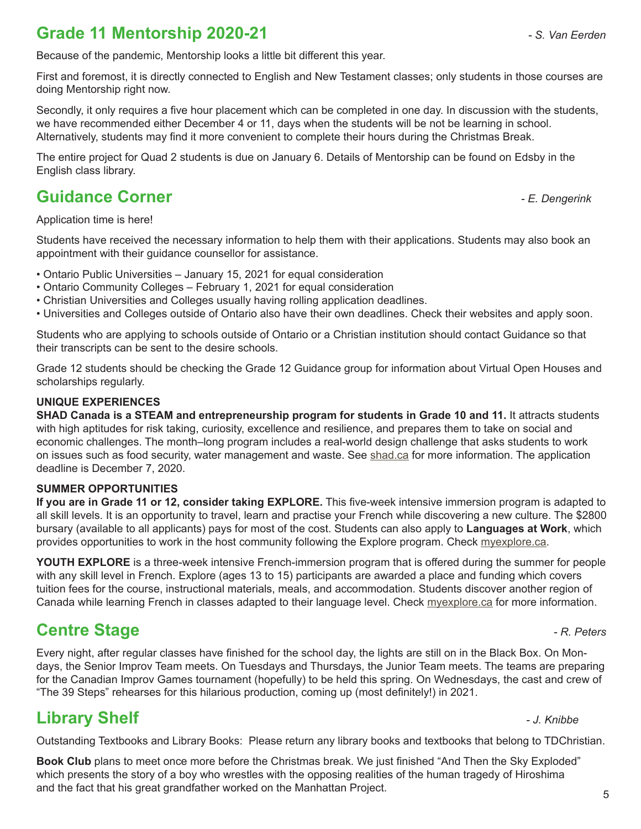# **Grade 11 Mentorship 2020-21** *- S. Van Eerden*

Because of the pandemic, Mentorship looks a little bit different this year.

First and foremost, it is directly connected to English and New Testament classes; only students in those courses are doing Mentorship right now.

Secondly, it only requires a five hour placement which can be completed in one day. In discussion with the students, we have recommended either December 4 or 11, days when the students will be not be learning in school. Alternatively, students may find it more convenient to complete their hours during the Christmas Break.

The entire project for Quad 2 students is due on January 6. Details of Mentorship can be found on Edsby in the English class library.

#### **Guidance Corner** *- E. Dengerink*

Application time is here!

Students have received the necessary information to help them with their applications. Students may also book an appointment with their guidance counsellor for assistance.

- Ontario Public Universities January 15, 2021 for equal consideration
- Ontario Community Colleges February 1, 2021 for equal consideration
- Christian Universities and Colleges usually having rolling application deadlines.
- Universities and Colleges outside of Ontario also have their own deadlines. Check their websites and apply soon.

Students who are applying to schools outside of Ontario or a Christian institution should contact Guidance so that their transcripts can be sent to the desire schools.

Grade 12 students should be checking the Grade 12 Guidance group for information about Virtual Open Houses and scholarships regularly.

#### **UNIQUE EXPERIENCES**

**SHAD Canada is a STEAM and entrepreneurship program for students in Grade 10 and 11.** It attracts students with high aptitudes for risk taking, curiosity, excellence and resilience, and prepares them to take on social and economic challenges. The month–long program includes a real-world design challenge that asks students to work on issues such as food security, water management and waste. See shad.ca for more information. The application deadline is December 7, 2020.

#### **SUMMER OPPORTUNITIES**

**If you are in Grade 11 or 12, consider taking EXPLORE.** This five-week intensive immersion program is adapted to all skill levels. It is an opportunity to travel, learn and practise your French while discovering a new culture. The \$2800 bursary (available to all applicants) pays for most of the cost. Students can also apply to **Languages at Work**, which provides opportunities to work in the host community following the Explore program. Check myexplore.ca.

**YOUTH EXPLORE** is a three-week intensive French-immersion program that is offered during the summer for people with any skill level in French. Explore (ages 13 to 15) participants are awarded a place and funding which covers tuition fees for the course, instructional materials, meals, and accommodation. Students discover another region of Canada while learning French in classes adapted to their language level. Check myexplore.ca for more information.

#### **Centre Stage** *Centre Stage**AR. Peters* **<b>***PR. Peters*

Every night, after regular classes have finished for the school day, the lights are still on in the Black Box. On Mondays, the Senior Improv Team meets. On Tuesdays and Thursdays, the Junior Team meets. The teams are preparing for the Canadian Improv Games tournament (hopefully) to be held this spring. On Wednesdays, the cast and crew of "The 39 Steps" rehearses for this hilarious production, coming up (most definitely!) in 2021.

#### **Library Shelf** *- J. Knibbe*

Outstanding Textbooks and Library Books: Please return any library books and textbooks that belong to TDChristian.

**Book Club** plans to meet once more before the Christmas break. We just finished "And Then the Sky Exploded" which presents the story of a boy who wrestles with the opposing realities of the human tragedy of Hiroshima and the fact that his great grandfather worked on the Manhattan Project.